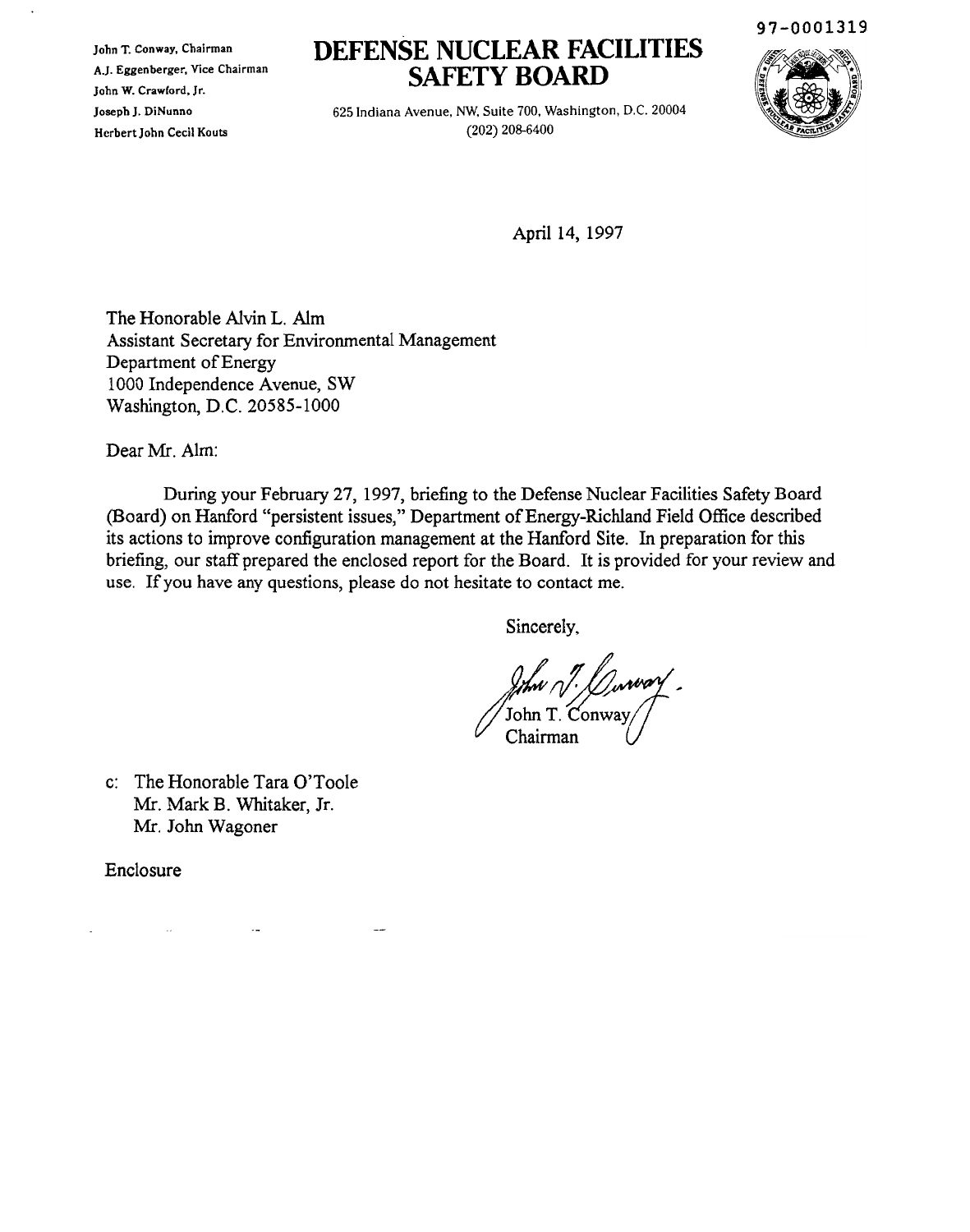John T. Conway, Chairman A.J. Eggenberger, Vice Chairman John W. Crawford, Jr. JosephJ. DiNunno Herbert John Cecil Kouts

# **DEFENSE NUCLEAR FACILITIES SAFETY BOARD**

625 Indiana Avenue, NW, Suite 700, Washington, D.C. 20004 (202) 208-6400



April 14, 1997

The Honorable Alvin L. Aim Assistant Secretary for Environmental Management Department of Energy 1000 Independence Avenue, SW Washington, D.C. 20585-1000

Dear Mr. Aim:

During your February 27, 1997, briefing to the Defense Nuclear Facilities Safety Board (Board) on Hanford "persistent issues," Department of Energy-Richland Field Office described its actions to improve configuration management at the Hanford Site. **In** preparation for this briefing, our staff prepared the enclosed report for the Board. It is provided for your review and use. Ifyou have any questions, please do not hesitate to contact me.

Sincerely,

of Chairman ray<br>John T. Conway<br>Chairman

c: The Honorable Tara O'Toole Mr. Mark B. Whitaker, Jr. Mr. John Wagoner

Enclosure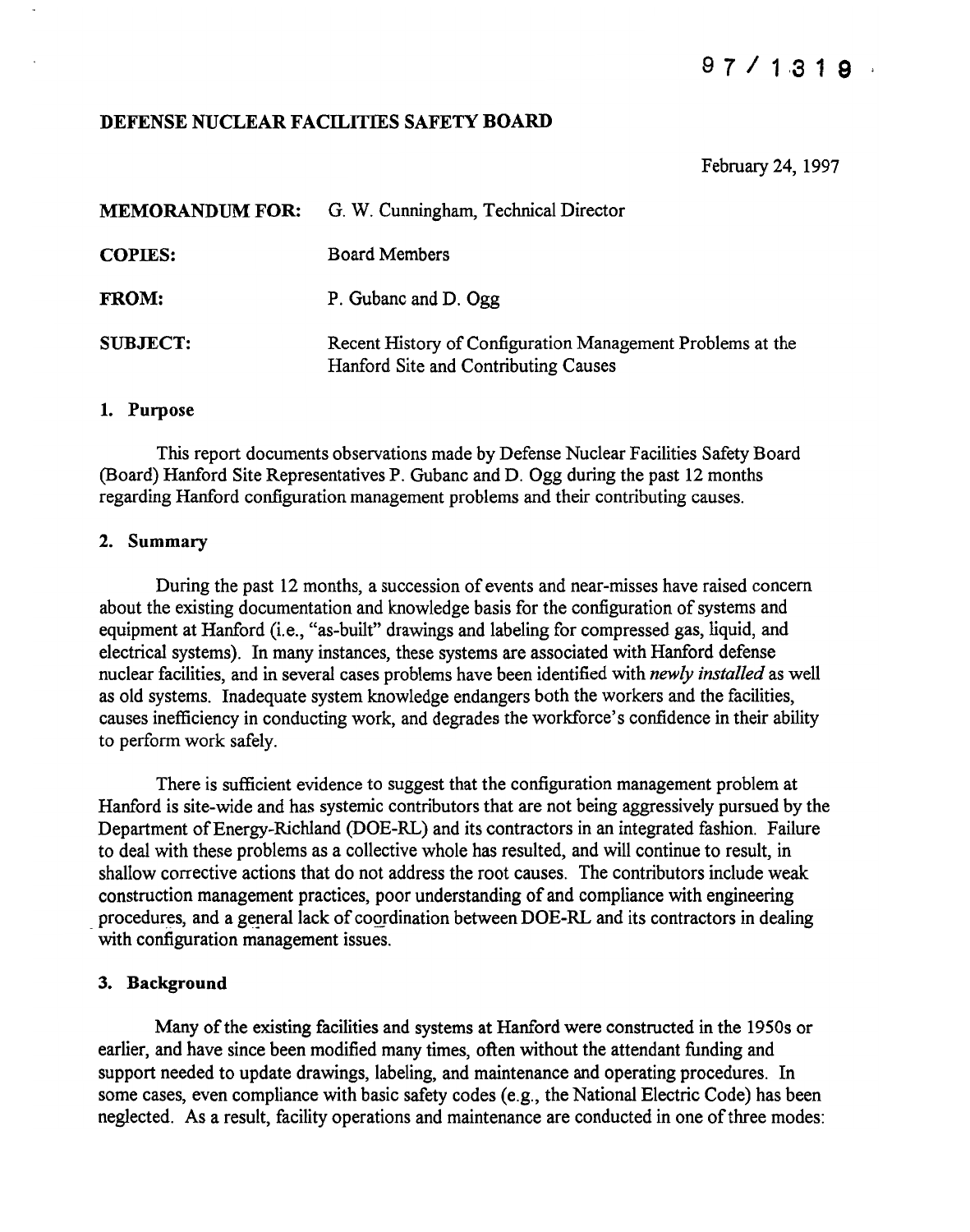## DEFENSE NUCLEAR FACILITIES SAFETY BOARD

February 24, 1997

| <b>MEMORANDUM FOR:</b> | G. W. Cunningham, Technical Director                                                               |
|------------------------|----------------------------------------------------------------------------------------------------|
| <b>COPIES:</b>         | <b>Board Members</b>                                                                               |
| <b>FROM:</b>           | P. Gubanc and D. Ogg                                                                               |
| <b>SUBJECT:</b>        | Recent History of Configuration Management Problems at the<br>Hanford Site and Contributing Causes |

#### 1. Purpose

This report documents observations made by Defense Nuclear Facilities Safety Board (Board) Hanford Site Representatives P. Gubanc and D. Ogg during the past 12 months regarding Hanford configuration management problems and their contributing causes.

#### 2. Summary

During the past 12 months, a succession of events and near-misses have raised concern about the existing documentation and knowledge basis for the configuration of systems and equipment at Hanford (i.e., "as-built" drawings and labeling for compressed gas, liquid, and electrical systems). In many instances, these systems are associated with Hanford defense nuclear facilities, and in several cases problems have been identified with *newly installed* as well as old systems. Inadequate system knowledge endangers both the workers and the facilities, causes inefficiency in conducting work, and degrades the workforce's confidence in their ability to perform work safely.

There is sufficient evidence to suggest that the configuration management problem at Hanford is site-wide and has systemic contributors that are not being aggressively pursued by the Department of Energy-Richland (DOE-RL) and its contractors in an integrated fashion. Failure to deal with these problems as a collective whole has resulted, and will continue to result, in shallow corrective actions that do not address the root causes. The contributors include weak construction management practices, poor understanding of and compliance with engineering procedures, and a general lack of coordination between DOE-RL and its contractors in dealing with configuration management issues.

### 3. Background

Many of the existing facilities and systems at Hanford were constructed in the 1950s or earlier, and have since been modified many times, often without the attendant funding and support needed to update drawings, labeling, and maintenance and operating procedures. In some cases, even compliance with basic safety codes (e.g., the National Electric Code) has been neglected. As a result, facility operations and maintenance are conducted in one of three modes: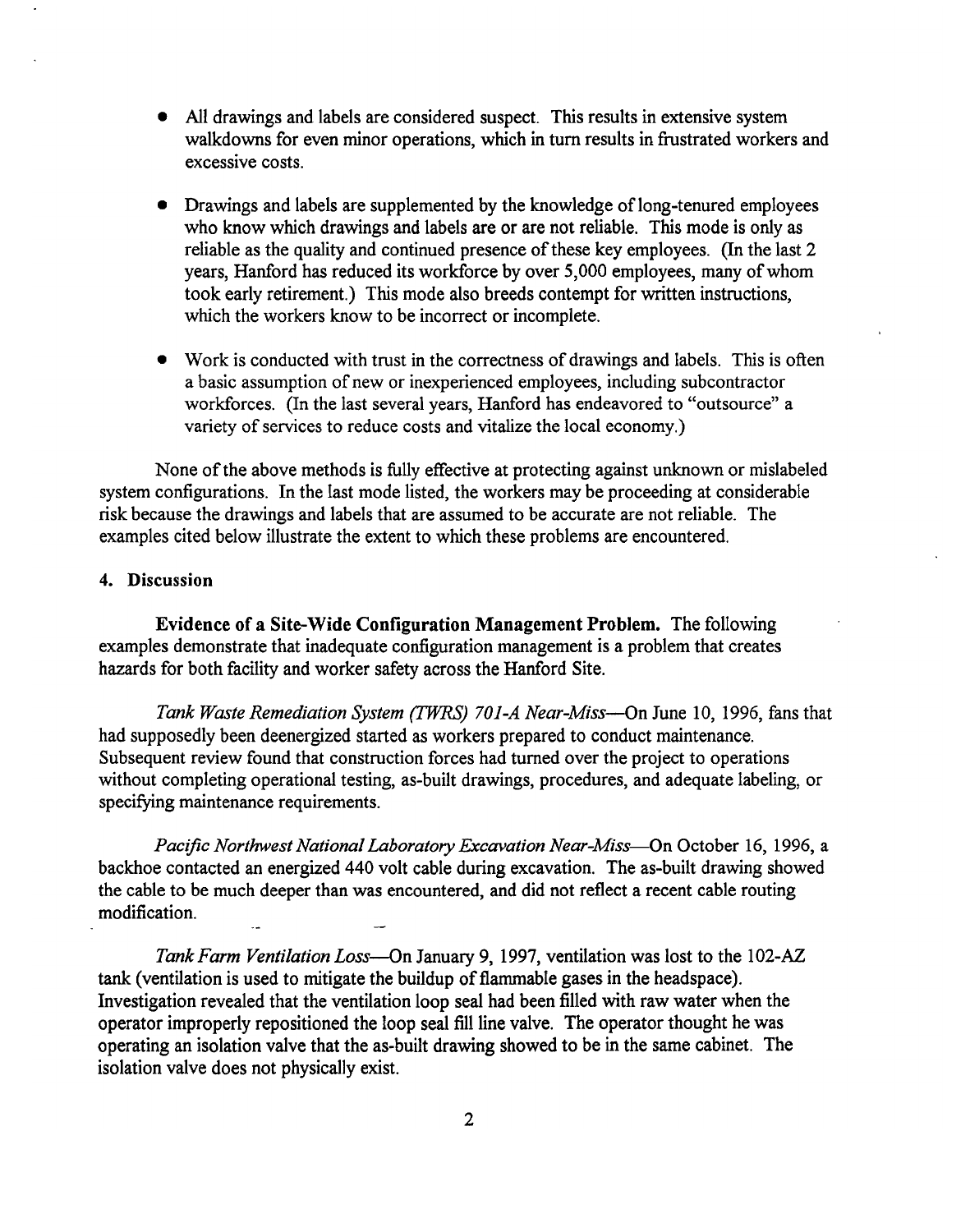- All drawings and labels are considered suspect. This results in extensive system walkdowns for even minor operations, which in turn results in frustrated workers and excessive costs.
- Drawings and labels are supplemented by the knowledge oflong-tenured employees who know which drawings and labels are or are not reliable. This mode is only as reliable as the quality and continued presence of these key employees. (In the last 2) years. Hanford has reduced its workforce by over 5,000 employees, many of whom took early retirement.) This mode also breeds contempt for written instructions, which the workers know to be incorrect or incomplete.
- Work is conducted with trust in the correctness of drawings and labels. This is often a basic assumption of new or inexperienced employees, including subcontractor workforces. (In the last several years, Hanford has endeavored to "outsource" a variety of services to reduce costs and vitalize the local economy.)

None of the above methods is fully effective at protecting against unknown or mislabeled system configurations. In the last mode listed, the workers may be proceeding at considerable risk because the drawings and labels that are assumed to be accurate are not reliable. The examples cited below illustrate the extent to which these problems are encountered.

## 4. Discussion

Evidence of a Site-Wide Configuration Management Problem. The following examples demonstrate that inadequate configuration management is a problem that creates hazards for both facility and worker safety across the Hanford Site.

*Tank Waste Remediation System (TWRS) 70J-A Near-Miss-On* June 10, 1996, fans that had supposedly been deenergized started as workers prepared to conduct maintenance. Subsequent review found that construction forces had turned over the project to operations without completing operational testing, as-built drawings, procedures, and adequate labeling, or specifying maintenance requirements.

*Pacific Northwest National Laboratory Excavation Near-Miss-On* October 16, 1996, a backhoe contacted an energized 440 volt cable during excavation. The as-built drawing showed the cable to be much deeper than was encountered, and did not reflect a recent cable routing modification.

*Tank Farm Ventilation Loss-Gn* January 9, 1997, ventilation was lost to the 102-AZ tank (ventilation is used to mitigate the buildup of flammable gases in the headspace). Investigation revealed that the ventilation loop seal had been filled with raw water when the operator improperly repositioned the loop seal fill line valve. The operator thought he was operating an isolation valve that the as-built drawing showed to be in the same cabinet. The isolation valve does not physically exist.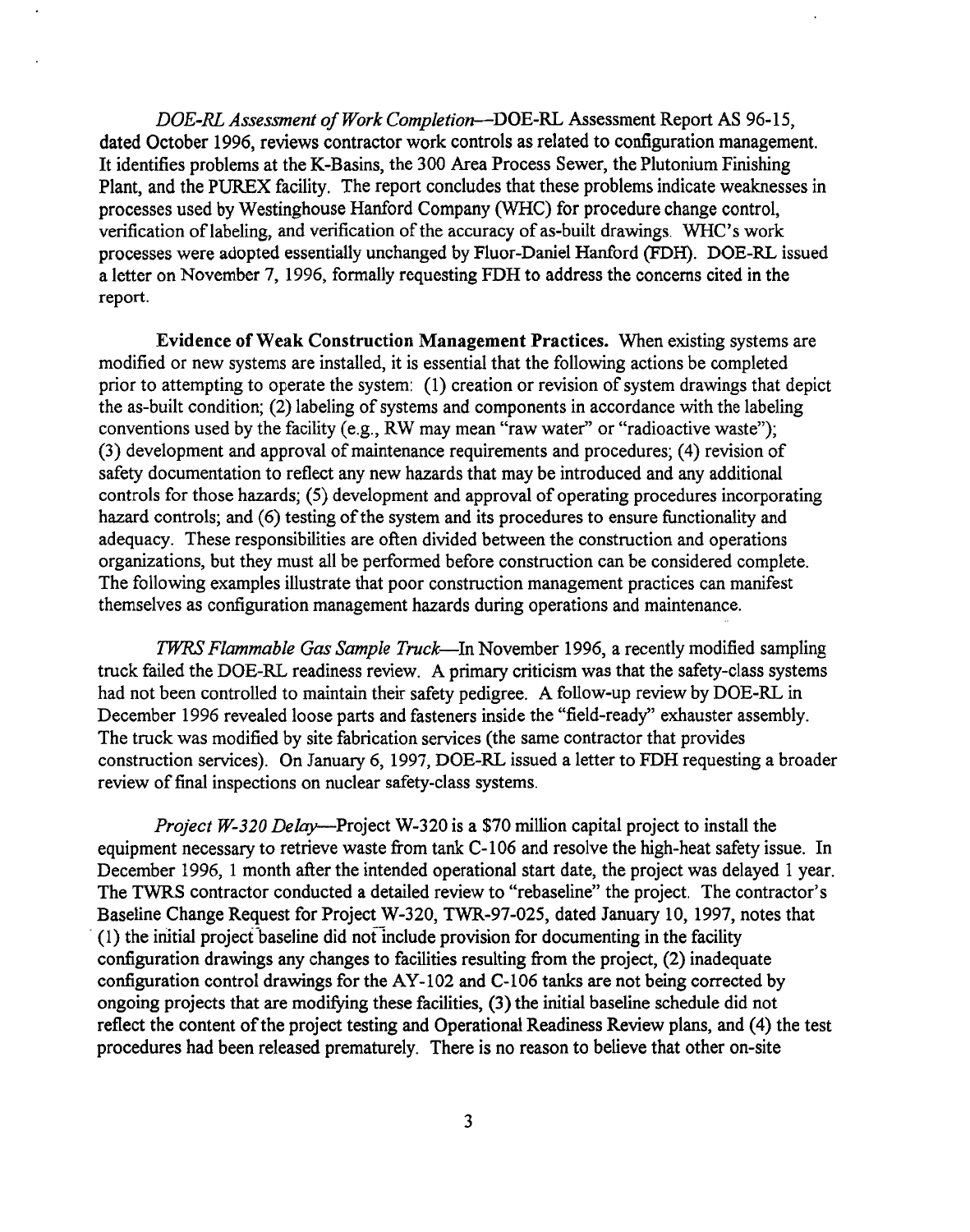*DOE-RL Assessment ofWork Completion-DOE-RL* Assessment Report AS 96-15, dated October 1996, reviews contractor work controls as related to configuration management. It identifies problems at the K-Basins, the 300 Area Process Sewer, the Plutonium Finishing Plant, and the PUREX facility. The report concludes that these problems indicate weaknesses in processes used by Westinghouse Hanford Company (WHC) for procedure change control, verification of labeling, and verification of the accuracy of as-built drawings. WHC's work processes were adopted essentially unchanged by Fluor-Daniel Hanford (FDH). DOE-RL issued a letter on November 7, 1996, formally requesting FDH to address the concerns cited in the report.

Evidence of Weak Construction Management Practices. When existing systems are modified or new systems are installed, it is essential that the following actions be completed prior to attempting to operate the system:  $(1)$  creation or revision of system drawings that depict the as-built condition; (2) labeling of systems and components in accordance with the labeling conventions used by the facility (e.g., RW may mean "raw water" or "radioactive waste"); (3) development and approval of maintenance requirements and procedures; (4) revision of safety documentation to reflect any new hazards that may be introduced and any additional controls for those hazards; (5) development and approval of operating procedures incorporating hazard controls; and (6) testing of the system and its procedures to ensure functionality and adequacy. These responsibilities are often divided between the construction and operations organizations, but they must all be performed before construction can be considered complete. The following examples illustrate that poor construction management practices can manifest themselves as configuration management hazards during operations and maintenance.

*TWRS Flammable Gas Sample Truck-In* November 1996, a recently modified sampling truck failed the DOE-RL readiness review. A primary criticism was that the safety-class systems had not been controlled to maintain their safety pedigree. A follow-up review by DOE-RL in December 1996 revealed loose parts and fasteners inside the "field-ready" exhauster assembly. The truck was modified by site fabrication services (the same contractor that provides construction services). On January 6, 1997, DOE-RL issued a letter to FDH requesting a broader review of final inspections on nuclear safety-class systems.

*Project W-320 Delay-Project* W-320 is a \$70 million capital project to install the equipment necessary to retrieve waste from tank C-106 and resolve the high-heat safety issue. In December 1996, 1 month after the intended operational start date, the project was delayed 1 year. The TWRS contractor conducted a detailed review to "rebaseline" the project. The contractor's Baseline Change Request for Project W-320, TWR-97-025, dated January 10, 1997, notes that  $(1)$  the initial project baseline did not include provision for documenting in the facility configuration drawings any changes to facilities resulting from the project, (2) inadequate configuration control drawings for the AY-102 and C-I06 tanks are not being corrected by ongoing projects that are modifying these facilities, (3) the initial baseline schedule did not reflect the content of the project testing and Operational Readiness Review plans, and (4) the test procedures had been released prematurely. There is no reason to believe that other on-site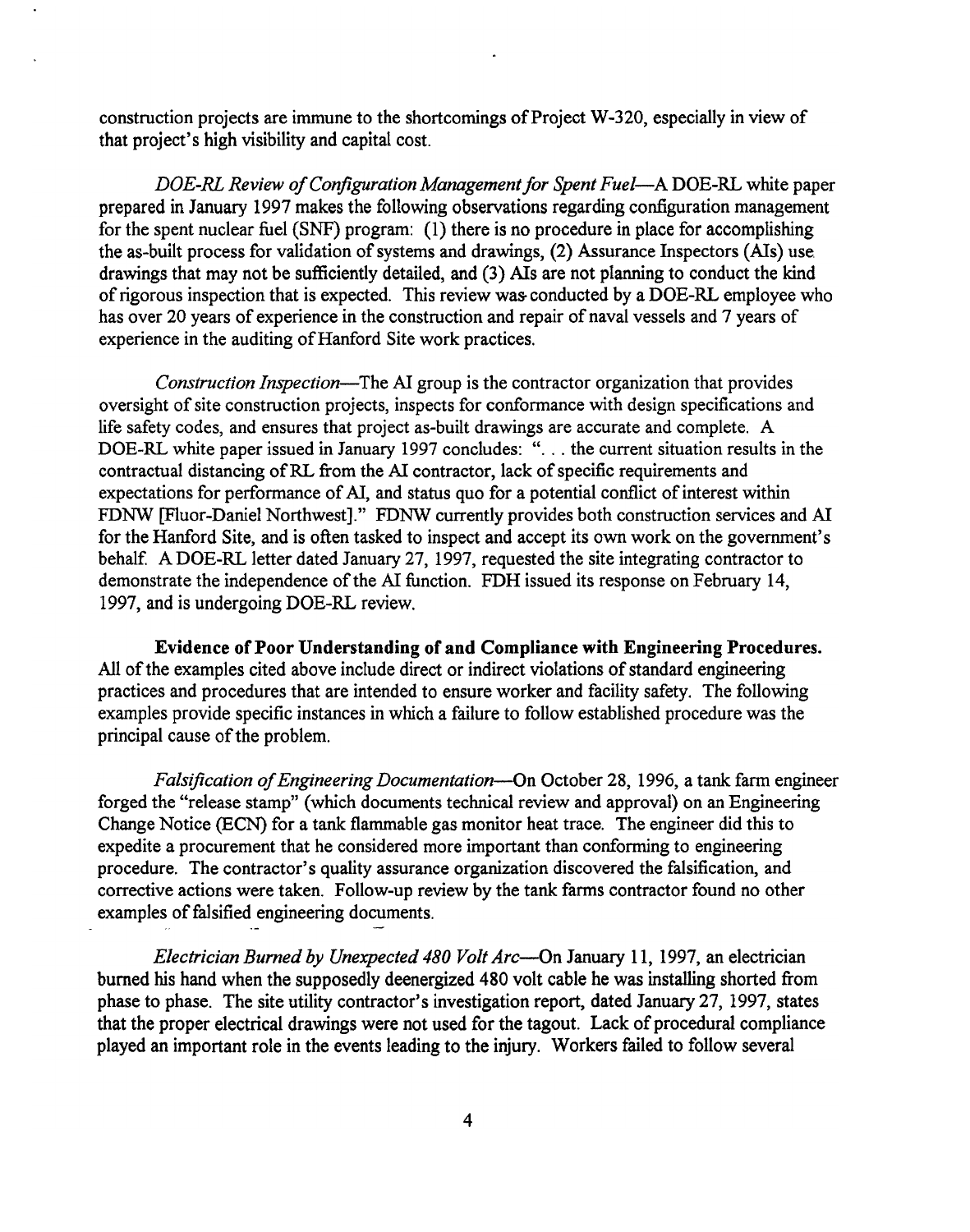construction projects are immune to the shortcomings of Project W-320, especially in view of that project's high visibility and capital cost.

*DOE-RL Review ofConfiguration Managementfor Spent Fuel-A* DOE-RL white paper prepared in January 1997 makes the following observations regarding configuration management for the spent nuclear fuel (SNF) program: (1) there is no procedure in place for accomplishing the as-built process for validation of systems and drawings, (2) Assurance Inspectors (AIs) use drawings that may not be sufficiently detailed, and (3) AIs are not planning to conduct the kind of rigorous inspection that is expected. This review was conducted by a DOE-RL employee who has over 20 years of experience in the construction and repair of naval vessels and 7 years of experience in the auditing of Hanford Site work practices.

*Construction Inspection-The* AI group is the contractor organization that provides oversight of site construction projects, inspects for conformance with design specifications and life safety codes, and ensures that project as-built drawings are accurate and complete. A DOE-RL white paper issued in January <sup>1997</sup> concludes: "... the current situation results in the contractual distancing of RL from the AI contractor, lack of specific requirements and expectations for performance of AI, and status quo for a potential conflict of interest within FDNW [Fluor-Daniel Northwest]." FDNW currently provides both construction services and AI for the Hanford Site, and is often tasked to inspect and accept its own work on the government's behalf. A DOE-RL letter dated January 27, 1997, requested the site integrating contractor to demonstrate the independence of the AI function. FDH issued its response on February 14, 1997, and is undergoing DOE-RL review.

Evidence of Poor Understanding of and Compliance with Engineering Procedures. All of the examples cited above include direct or indirect violations of standard engineering practices and procedures that are intended to ensure worker and facility safety. The following examples provide specific instances in which a failure to follow established procedure was the principal cause of the problem.

*Falsification ofEngineering Documentation-On* October 28, 1996, a tank farm engineer forged the "release stamp" (which documents technical review and approval) on an Engineering Change Notice (ECN) for a tank flammable gas monitor heat trace. The engineer did this to expedite a procurement that he considered more important than conforming to engineering procedure. The contractor's quality assurance organization discovered the falsification, and corrective actions were taken. Follow-up review by the tank farms contractor found no other examples of falsified engineering documents.

*Electrician Burned by Unexpected 480 Volt Arc-On* January 11, 1997, an electrician burned his hand when the supposedly deenergized 480 volt cable he was installing shorted from phase to phase. The site utility contractor's investigation report, dated January 27, 1997, states that the proper electrical drawings were not used for the tagout. Lack of procedural compliance played an important role in the events leading to the injury. Workers failed to follow several